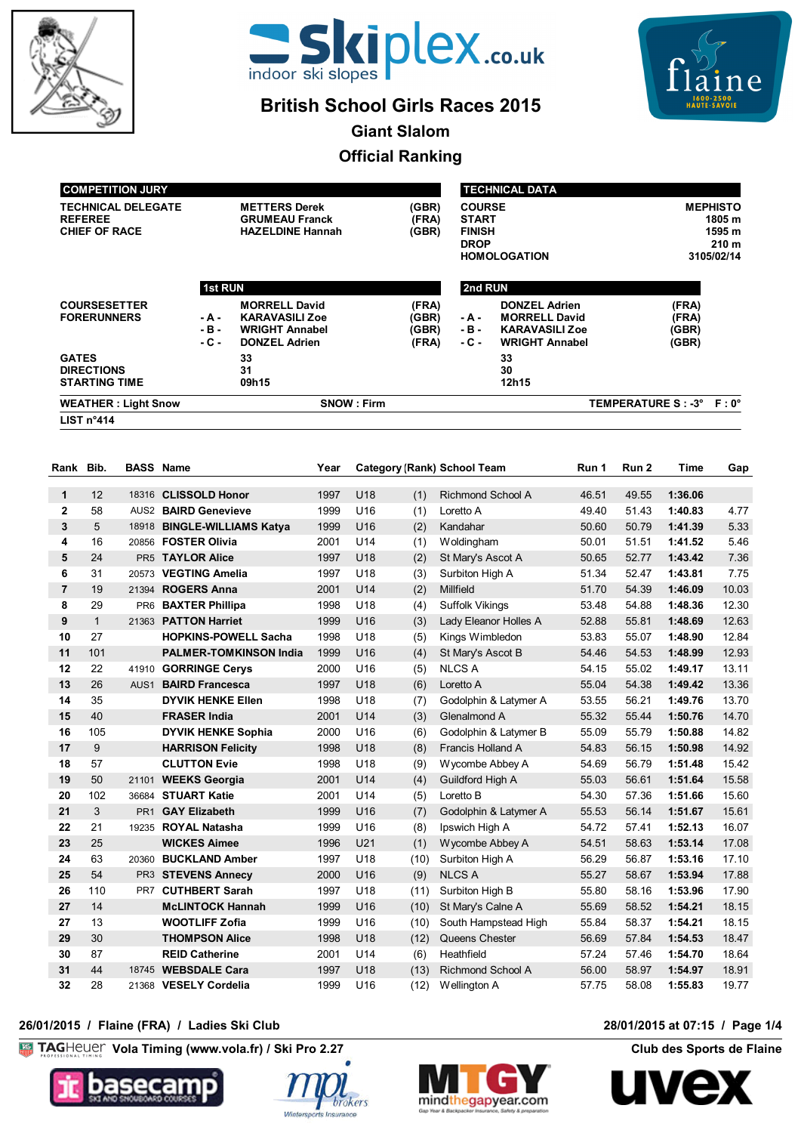



# **British School Girls Races 2015**



**Giant Slalom**

# **Official Ranking**

| <b>COMPETITION JURY</b>                                             |                           |                                                                                                |                                  | <b>TECHNICAL DATA</b>                                                                |                                                                                                |                                  |                                                                       |  |  |
|---------------------------------------------------------------------|---------------------------|------------------------------------------------------------------------------------------------|----------------------------------|--------------------------------------------------------------------------------------|------------------------------------------------------------------------------------------------|----------------------------------|-----------------------------------------------------------------------|--|--|
| <b>TECHNICAL DELEGATE</b><br><b>REFEREE</b><br><b>CHIEF OF RACE</b> |                           | <b>METTERS Derek</b><br><b>GRUMEAU Franck</b><br><b>HAZELDINE Hannah</b>                       | (GBR)<br>(FRA)<br>(GBR)          | <b>COURSE</b><br><b>START</b><br><b>FINISH</b><br><b>DROP</b><br><b>HOMOLOGATION</b> |                                                                                                |                                  | <b>MEPHISTO</b><br>1805 m<br>1595 m<br>210 <sub>m</sub><br>3105/02/14 |  |  |
|                                                                     | <b>1st RUN</b>            |                                                                                                |                                  | 2nd RUN                                                                              |                                                                                                |                                  |                                                                       |  |  |
| <b>COURSESETTER</b><br><b>FORERUNNERS</b>                           | - A -<br>$-B -$<br>$-C -$ | <b>MORRELL David</b><br><b>KARAVASILI Zoe</b><br><b>WRIGHT Annabel</b><br><b>DONZEL Adrien</b> | (FRA)<br>(GBR)<br>(GBR)<br>(FRA) | - A -<br>$-B -$<br>- C -                                                             | <b>DONZEL Adrien</b><br><b>MORRELL David</b><br><b>KARAVASILI Zoe</b><br><b>WRIGHT Annabel</b> | (FRA)<br>(FRA)<br>(GBR)<br>(GBR) |                                                                       |  |  |
| <b>GATES</b><br><b>DIRECTIONS</b><br><b>STARTING TIME</b>           |                           | 33<br>31<br>09h15                                                                              |                                  |                                                                                      | 33<br>30<br>12h15                                                                              |                                  |                                                                       |  |  |
| <b>WEATHER: Light Snow</b>                                          |                           | <b>SNOW: Firm</b>                                                                              |                                  |                                                                                      |                                                                                                | TEMPERATURE S: -3° F: 0°         |                                                                       |  |  |
| LIST $n^{\circ}414$                                                 |                           |                                                                                                |                                  |                                                                                      |                                                                                                |                                  |                                                                       |  |  |

| Rank Bib.               |              | <b>BASS Name</b> |                               | Year |                 |      | <b>Category (Rank) School Team</b> | Run 1 | Run 2 | Time    | Gap   |
|-------------------------|--------------|------------------|-------------------------------|------|-----------------|------|------------------------------------|-------|-------|---------|-------|
| 1                       | 12           | 18316            | <b>CLISSOLD Honor</b>         | 1997 | U18             | (1)  | <b>Richmond School A</b>           | 46.51 | 49.55 | 1:36.06 |       |
| $\mathbf{2}$            | 58           |                  | AUS2 BAIRD Genevieve          | 1999 | U16             | (1)  | Loretto A                          | 49.40 | 51.43 | 1:40.83 | 4.77  |
| 3                       | 5            | 18918            | <b>BINGLE-WILLIAMS Katya</b>  | 1999 | U <sub>16</sub> | (2)  | Kandahar                           | 50.60 | 50.79 | 1:41.39 | 5.33  |
| 4                       | 16           | 20856            | <b>FOSTER Olivia</b>          | 2001 | U14             | (1)  | Woldingham                         | 50.01 | 51.51 | 1:41.52 | 5.46  |
| 5                       | 24           | PR <sub>5</sub>  | <b>TAYLOR Alice</b>           | 1997 | U18             | (2)  | St Mary's Ascot A                  | 50.65 | 52.77 | 1:43.42 | 7.36  |
| 6                       | 31           | 20573            | <b>VEGTING Amelia</b>         | 1997 | U18             | (3)  | Surbiton High A                    | 51.34 | 52.47 | 1:43.81 | 7.75  |
| $\overline{\mathbf{r}}$ | 19           | 21394            | <b>ROGERS Anna</b>            | 2001 | U14             | (2)  | Millfield                          | 51.70 | 54.39 | 1:46.09 | 10.03 |
| 8                       | 29           | PR <sub>6</sub>  | <b>BAXTER Phillipa</b>        | 1998 | U <sub>18</sub> | (4)  | <b>Suffolk Vikings</b>             | 53.48 | 54.88 | 1:48.36 | 12.30 |
| 9                       | $\mathbf{1}$ | 21363            | <b>PATTON Harriet</b>         | 1999 | U16             | (3)  | Lady Eleanor Holles A              | 52.88 | 55.81 | 1:48.69 | 12.63 |
| 10                      | 27           |                  | <b>HOPKINS-POWELL Sacha</b>   | 1998 | U <sub>18</sub> | (5)  | Kings Wimbledon                    | 53.83 | 55.07 | 1:48.90 | 12.84 |
| 11                      | 101          |                  | <b>PALMER-TOMKINSON India</b> | 1999 | U <sub>16</sub> | (4)  | St Mary's Ascot B                  | 54.46 | 54.53 | 1:48.99 | 12.93 |
| 12                      | 22           | 41910            | <b>GORRINGE Cerys</b>         | 2000 | U <sub>16</sub> | (5)  | <b>NLCS A</b>                      | 54.15 | 55.02 | 1:49.17 | 13.11 |
| 13                      | 26           | AUS <sub>1</sub> | <b>BAIRD Francesca</b>        | 1997 | U18             | (6)  | Loretto A                          | 55.04 | 54.38 | 1:49.42 | 13.36 |
| 14                      | 35           |                  | <b>DYVIK HENKE Ellen</b>      | 1998 | U18             | (7)  | Godolphin & Latymer A              | 53.55 | 56.21 | 1:49.76 | 13.70 |
| 15                      | 40           |                  | <b>FRASER India</b>           | 2001 | U14             | (3)  | Glenalmond A                       | 55.32 | 55.44 | 1:50.76 | 14.70 |
| 16                      | 105          |                  | <b>DYVIK HENKE Sophia</b>     | 2000 | U <sub>16</sub> | (6)  | Godolphin & Latymer B              | 55.09 | 55.79 | 1:50.88 | 14.82 |
| 17                      | 9            |                  | <b>HARRISON Felicity</b>      | 1998 | U18             | (8)  | Francis Holland A                  | 54.83 | 56.15 | 1:50.98 | 14.92 |
| 18                      | 57           |                  | <b>CLUTTON Evie</b>           | 1998 | U <sub>18</sub> | (9)  | Wycombe Abbey A                    | 54.69 | 56.79 | 1:51.48 | 15.42 |
| 19                      | 50           | 21101            | <b>WEEKS Georgia</b>          | 2001 | U14             | (4)  | Guildford High A                   | 55.03 | 56.61 | 1:51.64 | 15.58 |
| 20                      | 102          | 36684            | <b>STUART Katie</b>           | 2001 | U <sub>14</sub> | (5)  | Loretto B                          | 54.30 | 57.36 | 1:51.66 | 15.60 |
| 21                      | 3            | PR <sub>1</sub>  | <b>GAY Elizabeth</b>          | 1999 | U <sub>16</sub> | (7)  | Godolphin & Latymer A              | 55.53 | 56.14 | 1:51.67 | 15.61 |
| 22                      | 21           | 19235            | <b>ROYAL Natasha</b>          | 1999 | U <sub>16</sub> | (8)  | Ipswich High A                     | 54.72 | 57.41 | 1:52.13 | 16.07 |
| 23                      | 25           |                  | <b>WICKES Aimee</b>           | 1996 | U <sub>21</sub> | (1)  | Wycombe Abbey A                    | 54.51 | 58.63 | 1:53.14 | 17.08 |
| 24                      | 63           | 20360            | <b>BUCKLAND Amber</b>         | 1997 | U18             | (10) | Surbiton High A                    | 56.29 | 56.87 | 1:53.16 | 17.10 |
| 25                      | 54           | PR3              | <b>STEVENS Annecy</b>         | 2000 | U <sub>16</sub> | (9)  | <b>NLCS A</b>                      | 55.27 | 58.67 | 1:53.94 | 17.88 |
| 26                      | 110          | PR7              | <b>CUTHBERT Sarah</b>         | 1997 | U18             | (11) | Surbiton High B                    | 55.80 | 58.16 | 1:53.96 | 17.90 |
| 27                      | 14           |                  | <b>McLINTOCK Hannah</b>       | 1999 | U <sub>16</sub> | (10) | St Mary's Calne A                  | 55.69 | 58.52 | 1:54.21 | 18.15 |
| 27                      | 13           |                  | <b>WOOTLIFF Zofia</b>         | 1999 | U16             | (10) | South Hampstead High               | 55.84 | 58.37 | 1:54.21 | 18.15 |
| 29                      | 30           |                  | <b>THOMPSON Alice</b>         | 1998 | U18             | (12) | Queens Chester                     | 56.69 | 57.84 | 1:54.53 | 18.47 |
| 30                      | 87           |                  | <b>REID Catherine</b>         | 2001 | U14             | (6)  | Heathfield                         | 57.24 | 57.46 | 1:54.70 | 18.64 |
| 31                      | 44           | 18745            | <b>WEBSDALE Cara</b>          | 1997 | U18             | (13) | <b>Richmond School A</b>           | 56.00 | 58.97 | 1:54.97 | 18.91 |
| 32                      | 28           |                  | 21368 VESELY Cordelia         | 1999 | U16             | (12) | Wellington A                       | 57.75 | 58.08 | 1:55.83 | 19.77 |

## **26/01/2015 / Flaine (FRA) / Ladies Ski Club 28/01/2015 at 07:15 / Page 1/4**

**Vola Timing (www.vola.fr) / Ski Pro 2.27 Club des Sports de Flaine** 







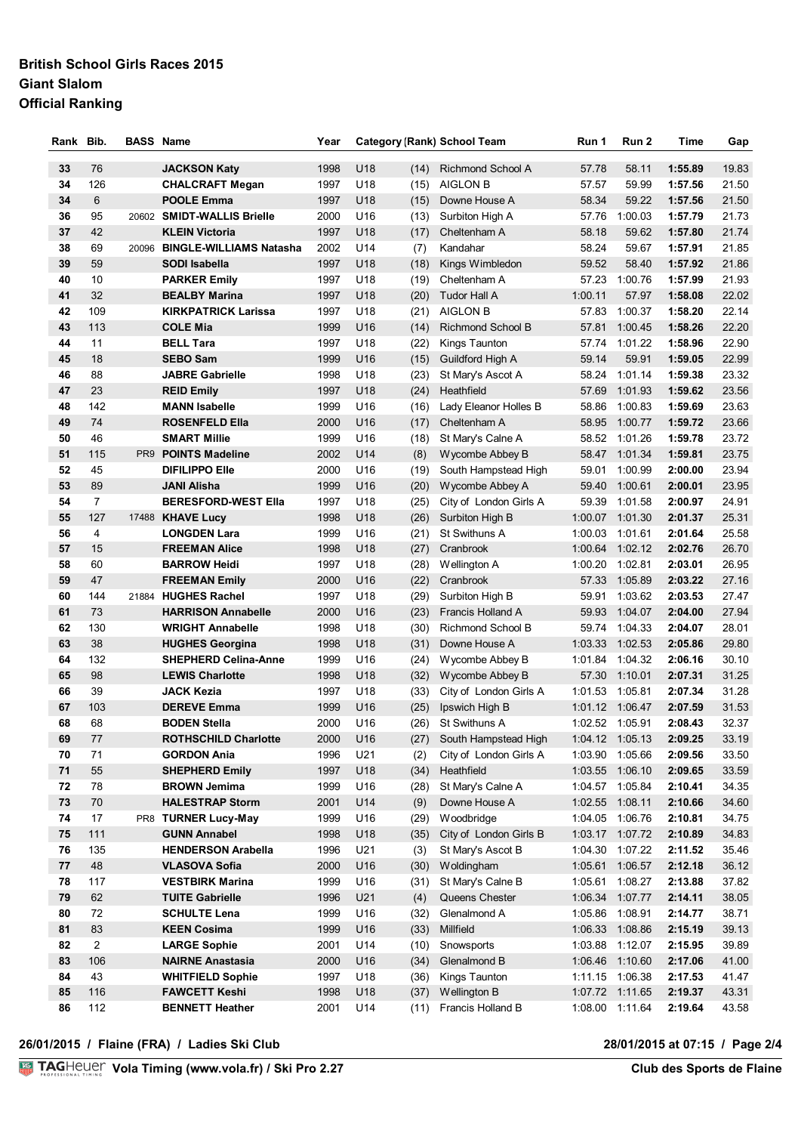# **British School Girls Races 2015 Giant Slalom Official Ranking**

| Rank | Bib.           | <b>BASS Name</b> |                               | Year     |                 |      | <b>Category (Rank) School Team</b> | Run 1           | Run 2           | Time    | Gap   |
|------|----------------|------------------|-------------------------------|----------|-----------------|------|------------------------------------|-----------------|-----------------|---------|-------|
|      |                |                  |                               |          |                 |      |                                    |                 |                 |         |       |
| 33   | 76             |                  | <b>JACKSON Katy</b>           | 1998     | U18             | (14) | Richmond School A                  | 57.78           | 58.11           | 1:55.89 | 19.83 |
| 34   | 126            |                  | <b>CHALCRAFT Megan</b>        | 1997     | U18             | (15) | <b>AIGLON B</b>                    | 57.57           | 59.99           | 1:57.56 | 21.50 |
| 34   | 6              |                  | <b>POOLE Emma</b>             | 1997     | U18             | (15) | Downe House A                      | 58.34           | 59.22           | 1:57.56 | 21.50 |
| 36   | 95             |                  | 20602 SMIDT-WALLIS Brielle    | 2000     | U16             | (13) | Surbiton High A                    | 57.76           | 1:00.03         | 1:57.79 | 21.73 |
| 37   | 42             |                  | <b>KLEIN Victoria</b>         | 1997     | U18             | (17) | Cheltenham A                       | 58.18           | 59.62           | 1:57.80 | 21.74 |
| 38   | 69             |                  | 20096 BINGLE-WILLIAMS Natasha | 2002     | U14             | (7)  | Kandahar                           | 58.24           | 59.67           | 1:57.91 | 21.85 |
| 39   | 59             |                  | SODI Isabella                 | 1997     | U18             | (18) | Kings Wimbledon                    | 59.52           | 58.40           | 1:57.92 | 21.86 |
| 40   | 10             |                  | <b>PARKER Emily</b>           | 1997     | U18             | (19) | Cheltenham A                       | 57.23           | 1:00.76         | 1:57.99 | 21.93 |
| 41   | 32             |                  | <b>BEALBY Marina</b>          | 1997     | U18             | (20) | <b>Tudor Hall A</b>                | 1:00.11         | 57.97           | 1:58.08 | 22.02 |
| 42   | 109            |                  | <b>KIRKPATRICK Larissa</b>    | 1997     | U18             | (21) | <b>AIGLON B</b>                    | 57.83           | 1:00.37         | 1:58.20 | 22.14 |
| 43   | 113            |                  | <b>COLE Mia</b>               | 1999     | U <sub>16</sub> | (14) | Richmond School B                  | 57.81           | 1:00.45         | 1:58.26 | 22.20 |
| 44   | 11             |                  | <b>BELL Tara</b>              | 1997     | U18             | (22) | Kings Taunton                      | 57.74           | 1:01.22         | 1:58.96 | 22.90 |
| 45   | 18             |                  | <b>SEBO Sam</b>               | 1999     | U <sub>16</sub> | (15) | Guildford High A                   | 59.14           | 59.91           | 1:59.05 | 22.99 |
| 46   | 88             |                  | <b>JABRE Gabrielle</b>        | 1998     | U18             | (23) | St Mary's Ascot A                  | 58.24           | 1:01.14         | 1:59.38 | 23.32 |
| 47   | 23             |                  | <b>REID Emily</b>             | 1997     | U18             | (24) | Heathfield                         | 57.69           | 1:01.93         | 1:59.62 | 23.56 |
| 48   | 142            |                  | <b>MANN Isabelle</b>          | 1999     | U16             | (16) | Lady Eleanor Holles B              | 58.86           | 1:00.83         | 1:59.69 | 23.63 |
| 49   | 74             |                  | <b>ROSENFELD Ella</b>         | 2000     | U16             | (17) | Cheltenham A                       | 58.95           | 1:00.77         | 1:59.72 | 23.66 |
| 50   | 46             |                  | <b>SMART Millie</b>           | 1999     | U16             | (18) | St Mary's Calne A                  | 58.52           | 1:01.26         | 1:59.78 | 23.72 |
| 51   | 115            |                  | PR9 POINTS Madeline           | 2002     | U14             | (8)  | Wycombe Abbey B                    | 58.47           | 1:01.34         | 1:59.81 | 23.75 |
| 52   | 45             |                  | <b>DIFILIPPO Elle</b>         | 2000     | U16             | (19) | South Hampstead High               | 59.01           | 1:00.99         | 2:00.00 | 23.94 |
| 53   | 89             |                  | <b>JANI Alisha</b>            | 1999     | U16             | (20) | Wycombe Abbey A                    | 59.40           | 1:00.61         | 2:00.01 | 23.95 |
| 54   | $\overline{7}$ |                  | <b>BERESFORD-WEST Ella</b>    | 1997     | U18             | (25) | City of London Girls A             | 59.39           | 1:01.58         | 2:00.97 | 24.91 |
| 55   | 127            |                  | 17488 KHAVE Lucy              | 1998     | U18             | (26) | Surbiton High B                    | 1:00.07         | 1:01.30         | 2:01.37 | 25.31 |
| 56   | 4              |                  | <b>LONGDEN Lara</b>           | 1999     | U16             | (21) | St Swithuns A                      | 1:00.03         | 1:01.61         | 2:01.64 | 25.58 |
| 57   | 15             |                  | <b>FREEMAN Alice</b>          | 1998     | U18             | (27) | Cranbrook                          | 1:00.64         | 1:02.12         | 2:02.76 | 26.70 |
| 58   | 60             |                  | <b>BARROW Heidi</b>           | 1997     | U18             | (28) | Wellington A                       | 1:00.20         | 1:02.81         | 2:03.01 | 26.95 |
| 59   | 47             |                  | <b>FREEMAN Emily</b>          | 2000     | U <sub>16</sub> | (22) | Cranbrook                          | 57.33           | 1:05.89         | 2:03.22 | 27.16 |
| 60   | 144            |                  | 21884 HUGHES Rachel           | 1997     | U18             | (29) | Surbiton High B                    | 59.91           | 1:03.62         | 2:03.53 | 27.47 |
| 61   | 73             |                  | <b>HARRISON Annabelle</b>     | 2000     | U16             | (23) | Francis Holland A                  | 59.93           | 1:04.07         | 2:04.00 | 27.94 |
| 62   | 130            |                  | <b>WRIGHT Annabelle</b>       | 1998     | U18             | (30) | Richmond School B                  | 59.74           | 1:04.33         | 2:04.07 | 28.01 |
| 63   | 38             |                  | <b>HUGHES Georgina</b>        | 1998     | U18             | (31) | Downe House A                      | 1:03.33         | 1:02.53         | 2:05.86 | 29.80 |
| 64   | 132            |                  | <b>SHEPHERD Celina-Anne</b>   | 1999     | U16             | (24) | Wycombe Abbey B                    | 1:01.84         | 1:04.32         | 2:06.16 | 30.10 |
| 65   | 98             |                  | <b>LEWIS Charlotte</b>        | 1998     | U18             | (32) | Wycombe Abbey B                    | 57.30           | 1:10.01         | 2:07.31 | 31.25 |
| 66   | 39             |                  | <b>JACK Kezia</b>             | 1997     | U18             | (33) | City of London Girls A             | 1:01.53         | 1:05.81         | 2:07.34 | 31.28 |
| 67   | 103            |                  | <b>DEREVE Emma</b>            | 1999     | U16             | (25) | Ipswich High B                     | 1:01.12 1:06.47 |                 | 2:07.59 | 31.53 |
| 68   | 68             |                  | <b>BODEN Stella</b>           | 2000     | U16             | (26) | St Swithuns A                      | 1:02.52 1:05.91 |                 | 2:08.43 | 32.37 |
| 69   | 77             |                  | <b>ROTHSCHILD Charlotte</b>   | 2000 U16 |                 |      | (27) South Hampstead High          |                 | 1:04.12 1:05.13 | 2:09.25 | 33.19 |
| 70   | 71             |                  | <b>GORDON Ania</b>            | 1996     | U21             | (2)  | City of London Girls A             |                 | 1:03.90 1:05.66 | 2:09.56 | 33.50 |
| 71   | 55             |                  | <b>SHEPHERD Emily</b>         | 1997     | U18             | (34) | Heathfield                         | 1:03.55         | 1:06.10         | 2:09.65 | 33.59 |
| 72   | 78             |                  | <b>BROWN Jemima</b>           | 1999     | U16             | (28) | St Mary's Calne A                  |                 | 1:04.57 1:05.84 | 2:10.41 | 34.35 |
| 73   | 70             |                  | <b>HALESTRAP Storm</b>        | 2001     | U14             | (9)  | Downe House A                      | 1:02.55         | 1:08.11         | 2:10.66 | 34.60 |
| 74   | 17             |                  | PR8 TURNER Lucy-May           | 1999     | U16             | (29) | Woodbridge                         | 1:04.05         | 1:06.76         | 2:10.81 | 34.75 |
| 75   | 111            |                  | <b>GUNN Annabel</b>           | 1998     | U18             | (35) | City of London Girls B             | 1:03.17 1:07.72 |                 | 2:10.89 | 34.83 |
| 76   | 135            |                  | <b>HENDERSON Arabella</b>     | 1996     | U21             | (3)  | St Mary's Ascot B                  | 1:04.30         | 1:07.22         | 2:11.52 | 35.46 |
| 77   | 48             |                  | <b>VLASOVA Sofia</b>          | 2000     | U16             | (30) | Woldingham                         | 1:05.61         | 1:06.57         | 2:12.18 | 36.12 |
| 78   | 117            |                  | <b>VESTBIRK Marina</b>        | 1999     | U16             | (31) | St Mary's Calne B                  | 1:05.61         | 1:08.27         | 2:13.88 | 37.82 |
| 79   | 62             |                  | <b>TUITE Gabrielle</b>        | 1996     | U21             | (4)  | Queens Chester                     | 1:06.34 1:07.77 |                 | 2:14.11 | 38.05 |
| 80   | 72             |                  | <b>SCHULTE Lena</b>           | 1999     | U16             | (32) | Glenalmond A                       | 1:05.86 1:08.91 |                 | 2:14.77 | 38.71 |
| 81   | 83             |                  | <b>KEEN Cosima</b>            | 1999     | U16             | (33) | Millfield                          |                 | 1:06.33 1:08.86 | 2:15.19 | 39.13 |
| 82   | $\overline{2}$ |                  |                               | 2001     | U14             |      |                                    |                 | 1:03.88 1:12.07 |         | 39.89 |
|      |                |                  | <b>LARGE Sophie</b>           |          |                 | (10) | Snowsports                         |                 |                 | 2:15.95 |       |
| 83   | 106            |                  | <b>NAIRNE Anastasia</b>       | 2000     | U16             | (34) | Glenalmond B                       | 1:06.46         | 1:10.60         | 2:17.06 | 41.00 |
| 84   | 43             |                  | <b>WHITFIELD Sophie</b>       | 1997     | U18             | (36) | Kings Taunton                      | 1:11.15 1:06.38 |                 | 2:17.53 | 41.47 |
| 85   | 116            |                  | <b>FAWCETT Keshi</b>          | 1998     | U18             | (37) | Wellington B                       |                 | 1:07.72 1:11.65 | 2:19.37 | 43.31 |
| 86   | 112            |                  | <b>BENNETT Heather</b>        | 2001     | U14             | (11) | Francis Holland B                  |                 | 1:08.00 1:11.64 | 2:19.64 | 43.58 |

**26/01/2015 / Flaine (FRA) / Ladies Ski Club 28/01/2015 at 07:15 / Page 2/4**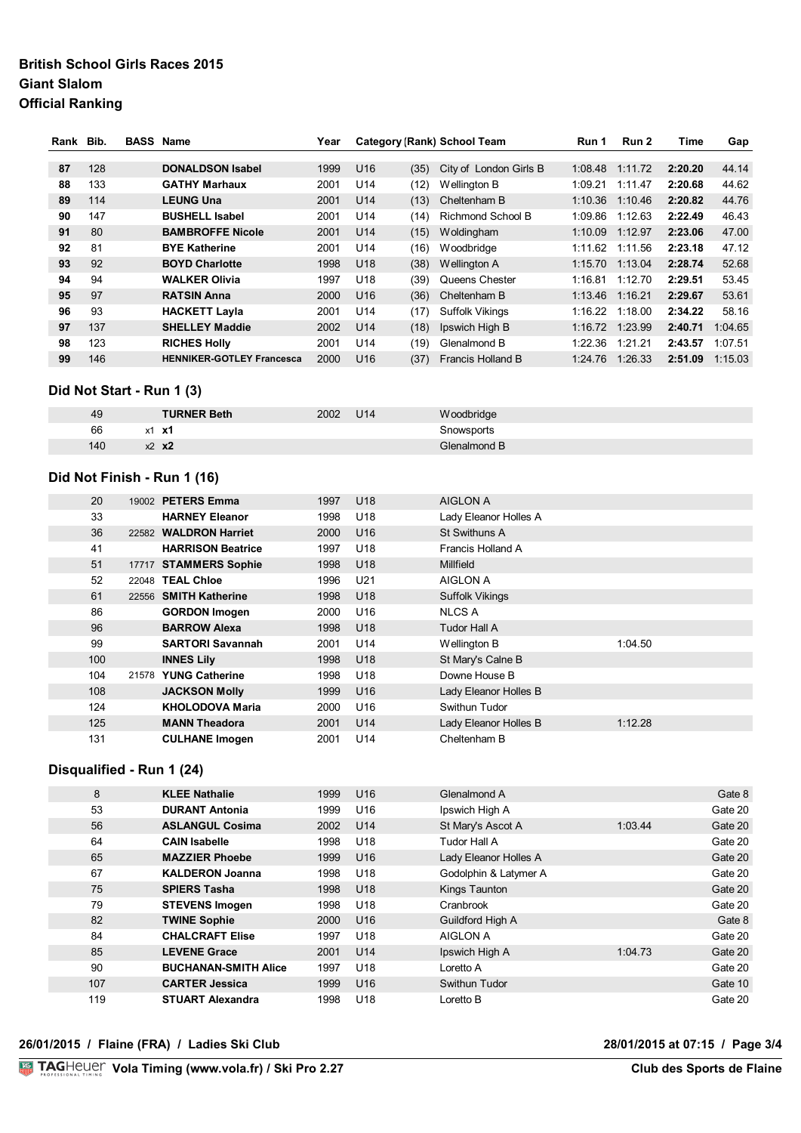# **British School Girls Races 2015 Giant Slalom Official Ranking**

| Rank Bib. |     | <b>BASS Name</b> |                                  | Year |                 |      | Category (Rank) School Team | Run 1   | Run 2   | Time    | Gap     |
|-----------|-----|------------------|----------------------------------|------|-----------------|------|-----------------------------|---------|---------|---------|---------|
|           |     |                  |                                  |      |                 |      |                             |         |         |         |         |
| 87        | 128 |                  | <b>DONALDSON Isabel</b>          | 1999 | U <sub>16</sub> | (35) | City of London Girls B      | 1:08.48 | 1:11.72 | 2:20.20 | 44.14   |
| 88        | 133 |                  | <b>GATHY Marhaux</b>             | 2001 | U14             | (12) | Wellington B                | 1:09.21 | 1:11.47 | 2:20.68 | 44.62   |
| 89        | 114 |                  | <b>LEUNG Una</b>                 | 2001 | U <sub>14</sub> | (13) | Cheltenham B                | 1:10.36 | 1:10.46 | 2:20.82 | 44.76   |
| 90        | 147 |                  | <b>BUSHELL Isabel</b>            | 2001 | U <sub>14</sub> | (14) | <b>Richmond School B</b>    | 1:09.86 | 1:12.63 | 2:22.49 | 46.43   |
| 91        | 80  |                  | <b>BAMBROFFE Nicole</b>          | 2001 | U <sub>14</sub> | (15) | Woldingham                  | 1:10.09 | 1:12.97 | 2:23.06 | 47.00   |
| 92        | 81  |                  | <b>BYE Katherine</b>             | 2001 | U <sub>14</sub> | (16) | Woodbridge                  | 1:11.62 | 1:11.56 | 2:23.18 | 47.12   |
| 93        | 92  |                  | <b>BOYD Charlotte</b>            | 1998 | U <sub>18</sub> | (38) | Wellington A                | 1:15.70 | 1:13.04 | 2:28.74 | 52.68   |
| 94        | 94  |                  | <b>WALKER Olivia</b>             | 1997 | U <sub>18</sub> | (39) | Queens Chester              | 1:16.81 | 1:12.70 | 2:29.51 | 53.45   |
| 95        | 97  |                  | <b>RATSIN Anna</b>               | 2000 | U <sub>16</sub> | (36) | Cheltenham B                | 1:13.46 | 1:16.21 | 2:29.67 | 53.61   |
| 96        | 93  |                  | <b>HACKETT Layla</b>             | 2001 | U <sub>14</sub> | (17) | <b>Suffolk Vikings</b>      | 1:16.22 | 1:18.00 | 2:34.22 | 58.16   |
| 97        | 137 |                  | <b>SHELLEY Maddie</b>            | 2002 | U14             | (18) | Ipswich High B              | 1:16.72 | 1:23.99 | 2:40.71 | 1:04.65 |
| 98        | 123 |                  | <b>RICHES Holly</b>              | 2001 | U <sub>14</sub> | (19) | Glenalmond B                | 1:22.36 | 1:21.21 | 2:43.57 | 1:07.51 |
| 99        | 146 |                  | <b>HENNIKER-GOTLEY Francesca</b> | 2000 | U <sub>16</sub> | (37) | Francis Holland B           | 1:24.76 | 1:26.33 | 2:51.09 | 1:15.03 |

# **Did Not Start - Run 1 (3) 12h15 12h15 12h15 12h15**

| 49  | <b>TURNER Beth</b> | U14<br>2002 | Woodbridge   |
|-----|--------------------|-------------|--------------|
| 66  | - x1<br>x1         |             | Snowsports   |
| 140 | $x^2$ $x^2$        |             | Glenalmond B |

**DIRECTIONS 31 30**

#### **Did Not Finish - Run 1 (16)**

| 20  |       | 19002 PETERS Emma        | 1997 | U <sub>18</sub> | <b>AIGLON A</b>        |         |
|-----|-------|--------------------------|------|-----------------|------------------------|---------|
| 33  |       | <b>HARNEY Eleanor</b>    | 1998 | U <sub>18</sub> | Lady Eleanor Holles A  |         |
| 36  |       | 22582 WALDRON Harriet    | 2000 | U <sub>16</sub> | St Swithuns A          |         |
| 41  |       | <b>HARRISON Beatrice</b> | 1997 | U <sub>18</sub> | Francis Holland A      |         |
| 51  |       | 17717 STAMMERS Sophie    | 1998 | U <sub>18</sub> | Millfield              |         |
| 52  | 22048 | <b>TEAL Chloe</b>        | 1996 | U21             | AIGLON A               |         |
| 61  |       | 22556 SMITH Katherine    | 1998 | U <sub>18</sub> | <b>Suffolk Vikings</b> |         |
| 86  |       | <b>GORDON Imogen</b>     | 2000 | U <sub>16</sub> | NLCS A                 |         |
| 96  |       | <b>BARROW Alexa</b>      | 1998 | U <sub>18</sub> | Tudor Hall A           |         |
| 99  |       | <b>SARTORI Savannah</b>  | 2001 | U14             | Wellington B           | 1:04.50 |
| 100 |       | <b>INNES Lily</b>        | 1998 | U <sub>18</sub> | St Mary's Calne B      |         |
| 104 | 21578 | <b>YUNG Catherine</b>    | 1998 | U <sub>18</sub> | Downe House B          |         |
| 108 |       | <b>JACKSON Molly</b>     | 1999 | U <sub>16</sub> | Lady Eleanor Holles B  |         |
| 124 |       | KHOLODOVA Maria          | 2000 | U <sub>16</sub> | Swithun Tudor          |         |
| 125 |       | <b>MANN Theadora</b>     | 2001 | U14             | Lady Eleanor Holles B  | 1:12.28 |
| 131 |       | <b>CULHANE Imogen</b>    | 2001 | U14             | Cheltenham B           |         |

#### **Disqualified - Run 1 (24)**

| 8   | <b>KLEE Nathalie</b>        | 1999 | U <sub>16</sub> | Glenalmond A          |         | Gate 8  |
|-----|-----------------------------|------|-----------------|-----------------------|---------|---------|
| 53  | <b>DURANT Antonia</b>       | 1999 | U <sub>16</sub> | Ipswich High A        |         | Gate 20 |
| 56  | <b>ASLANGUL Cosima</b>      | 2002 | U <sub>14</sub> | St Mary's Ascot A     | 1:03.44 | Gate 20 |
| 64  | <b>CAIN Isabelle</b>        | 1998 | U <sub>18</sub> | Tudor Hall A          |         | Gate 20 |
| 65  | <b>MAZZIER Phoebe</b>       | 1999 | U <sub>16</sub> | Lady Eleanor Holles A |         | Gate 20 |
| 67  | <b>KALDERON Joanna</b>      | 1998 | U <sub>18</sub> | Godolphin & Latymer A |         | Gate 20 |
| 75  | <b>SPIERS Tasha</b>         | 1998 | U <sub>18</sub> | Kings Taunton         |         | Gate 20 |
| 79  | <b>STEVENS Imogen</b>       | 1998 | U <sub>18</sub> | Cranbrook             |         | Gate 20 |
| 82  | <b>TWINE Sophie</b>         | 2000 | U <sub>16</sub> | Guildford High A      |         | Gate 8  |
| 84  | <b>CHALCRAFT Elise</b>      | 1997 | U <sub>18</sub> | AIGLON A              |         | Gate 20 |
| 85  | <b>LEVENE Grace</b>         | 2001 | U <sub>14</sub> | Ipswich High A        | 1:04.73 | Gate 20 |
| 90  | <b>BUCHANAN-SMITH Alice</b> | 1997 | U <sub>18</sub> | Loretto A             |         | Gate 20 |
| 107 | <b>CARTER Jessica</b>       | 1999 | U <sub>16</sub> | Swithun Tudor         |         | Gate 10 |
| 119 | <b>STUART Alexandra</b>     | 1998 | U <sub>18</sub> | Loretto B             |         | Gate 20 |

#### **26/01/2015 / Flaine (FRA) / Ladies Ski Club 28/01/2015 at 07:15 / Page 3/4**